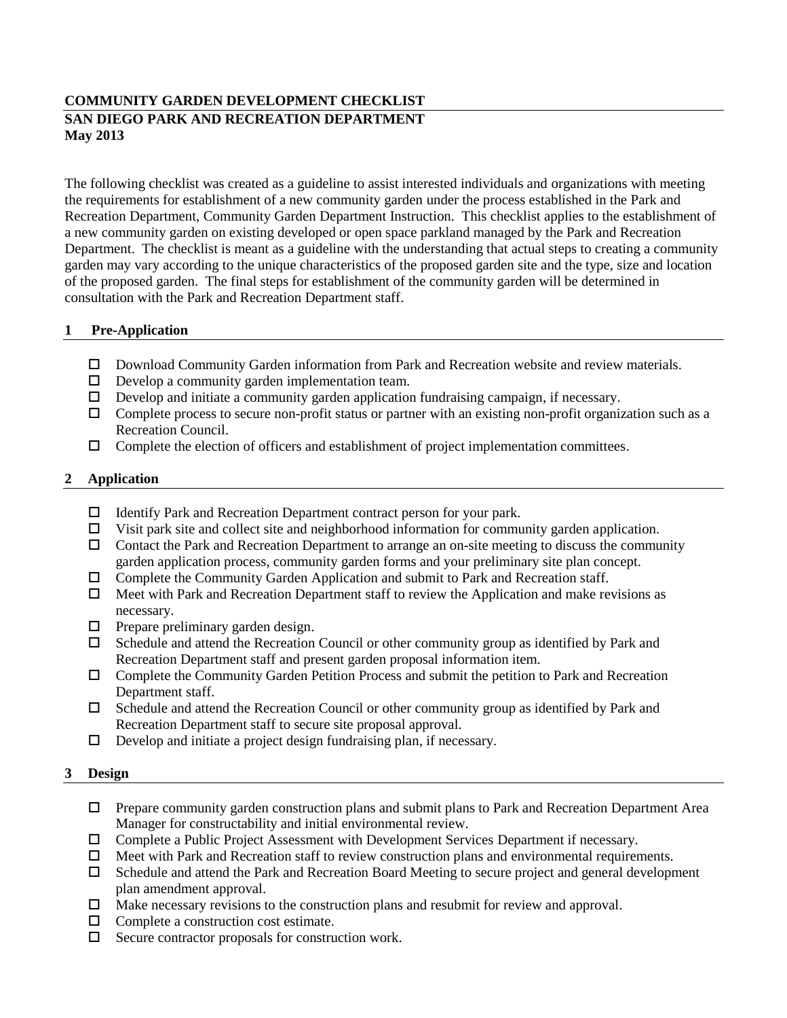# **COMMUNITY GARDEN DEVELOPMENT CHECKLIST SAN DIEGO PARK AND RECREATION DEPARTMENT May 2013**

The following checklist was created as a guideline to assist interested individuals and organizations with meeting the requirements for establishment of a new community garden under the process established in the Park and Recreation Department, Community Garden Department Instruction. This checklist applies to the establishment of a new community garden on existing developed or open space parkland managed by the Park and Recreation Department. The checklist is meant as a guideline with the understanding that actual steps to creating a community garden may vary according to the unique characteristics of the proposed garden site and the type, size and location of the proposed garden. The final steps for establishment of the community garden will be determined in consultation with the Park and Recreation Department staff.

## **1 Pre-Application**

- Download Community Garden information from Park and Recreation website and review materials.
- $\Box$  Develop a community garden implementation team.
- $\Box$  Develop and initiate a community garden application fundraising campaign, if necessary.
- $\Box$  Complete process to secure non-profit status or partner with an existing non-profit organization such as a Recreation Council.
- $\Box$  Complete the election of officers and establishment of project implementation committees.

### **2 Application**

- $\Box$  Identify Park and Recreation Department contract person for your park.
- $\Box$  Visit park site and collect site and neighborhood information for community garden application.
- $\Box$  Contact the Park and Recreation Department to arrange an on-site meeting to discuss the community garden application process, community garden forms and your preliminary site plan concept.
- $\Box$  Complete the Community Garden Application and submit to Park and Recreation staff.
- $\Box$  Meet with Park and Recreation Department staff to review the Application and make revisions as necessary.
- $\Box$  Prepare preliminary garden design.
- Schedule and attend the Recreation Council or other community group as identified by Park and Recreation Department staff and present garden proposal information item.
- Complete the Community Garden Petition Process and submit the petition to Park and Recreation Department staff.
- $\Box$  Schedule and attend the Recreation Council or other community group as identified by Park and Recreation Department staff to secure site proposal approval.
- $\Box$  Develop and initiate a project design fundraising plan, if necessary.

#### **3 Design**

- $\Box$  Prepare community garden construction plans and submit plans to Park and Recreation Department Area Manager for constructability and initial environmental review.
- Complete a Public Project Assessment with Development Services Department if necessary.
- $\Box$  Meet with Park and Recreation staff to review construction plans and environmental requirements.
- Schedule and attend the Park and Recreation Board Meeting to secure project and general development plan amendment approval.
- $\Box$  Make necessary revisions to the construction plans and resubmit for review and approval.
- $\Box$  Complete a construction cost estimate.
- $\Box$  Secure contractor proposals for construction work.